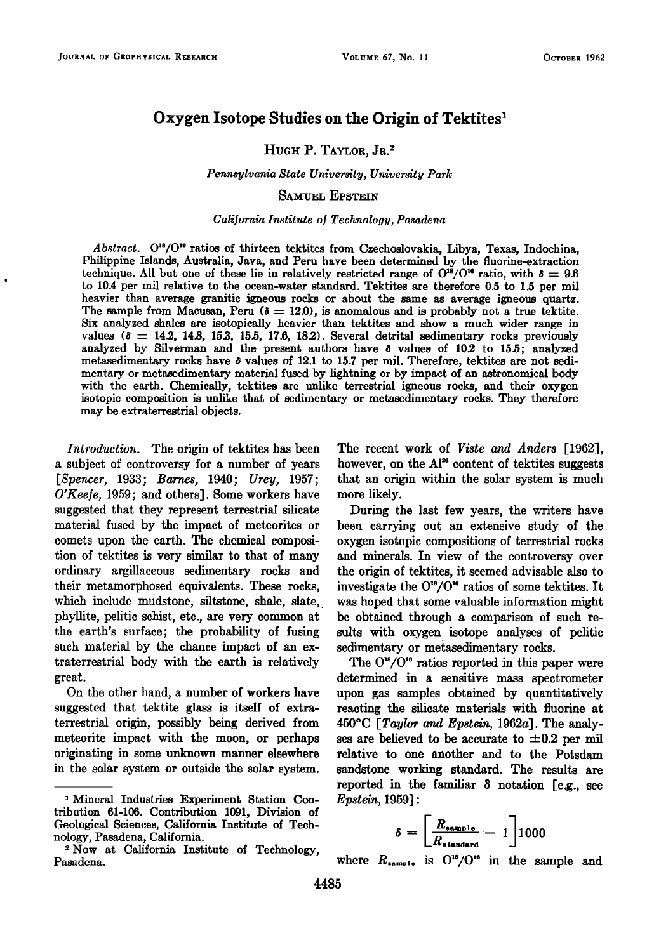# **Oxygen Isotope Studies on the Origin of Tektites**

## HUGH P. TAYLOR, JR.<sup>2</sup>

**Pennsylvania State University, University Park** 

### **SAMUEL EPSTEIN**

#### **California Institute o• Technology, Pasadena**

Abstract. O<sup>18</sup>/O<sup>16</sup> ratios of thirteen tektites from Czechoslovakia, Libya, Texas, Indochina, **Philippine Islands, Australia, Java, and Peru have been determined by the fluorine-extraction**  technique. All but one of these lie in relatively restricted range of  $O^{16}/O^{16}$  ratio, with  $\delta = 9.6$ **to 10.4 per mil relative to the ocean-water standard. Tektites are therefore 0.5 to 1.5 per mil heavier than average granitic igneous rocks or about the same as average igneous quartz.**  The sample from Macusan, Peru ( $\delta = 12.0$ ), is anomalous and is probably not a true tektite. **Six analyzed shales are isotopically heavier than tektites and show a much wider range in**   $v$ alues ( $\delta = 14.2, 14.8, 15.3, 15.5, 17.6, 18.2$ ). Several detrital sedimentary rocks previously **analyzed by Silverman and the present authors have \$ values of 10.2 to 15.5; analyzed metasedimentary rocks have \$ values of 12.1 to 15.7 per mil. Therefore, tektites are not sedimentary or metasedimentary material fused by lightning or by impact of an astronomical body with the earth. Chemically, tektites are unlike terrestrial igneous rocks, and their oxygen isotopic composition is unlike that of sedimentary or metasedimentary rocks. They therefore may be extraterrestrial objects.** 

**Introduction. The origin of tektites has been a subject of controversy for a number of years [Spencer, 1933; Barnes, 1940; Urey, 1957; O'Keefe, 1959; and others]. Some workers have suggested that they represent terrestrial silicate material fused by the impact of meteorites or comets upon the earth. The chemical composition of tektites is very similar to that of many ordinary argillaceous sedimentary rocks and their metamorphosed equivalents. These rocks, which include mudstone, siltstone, shale, slate, phyllite, pelitic schist, etc., are very common at the earth's surface; the probability of fusing such material by the chance impact of an extraterrestrial body with the earth is relatively great.** 

**On the other hand, a number of workers have suggested that tektite glass is itself of extraterrestrial origin, possibly being derived from meteorite impact with the moon, or perhaps originating in some unknown manner elsewhere in the solar system or outside the solar system.**  **The recent work of Viste and Anders [1962],**  however, on the Al<sup>28</sup> content of tektites suggests **that an origin within the solar system is much more likely.** 

**During the last few years, the writers have been carrying out an extensive study of the oxygen isotopic compositions of terrestrial rocks and minerals. In view of the controversy over the origin of tektites, it seemed advisable also to**  investigate the  $O^{18}/O^{16}$  ratios of some tektites. It **was hoped that some valuable information might be obtained through a comparison of such results with oxygen isotope analyses of pelitic sedimentary or metasedimentary rocks.** 

The O<sup>18</sup>/O<sup>16</sup> ratios reported in this paper were **determined in a sensitive mass spectrometer upon gas samples obtained by quantitatively reacting the silicate materials with fluorine at 450øC [Taylor and Epstein, 1962a]. The analy**ses are believed to be accurate to  $\pm 0.2$  per mil **relative to one another and to the Potsdam sandstone working standard. The results are reported in the familiar**  $\delta$  **notation [e.g., see** *Epstein*, 1959]:

$$
\delta = \left[\frac{R_{\texttt{sample}}}{R_{\texttt{standard}}} - 1\right]1000
$$

where  $R_{\text{sample}}$  is  $O^{18}/O^{16}$  in the sample and

<sup>&</sup>lt;sup>1</sup> Mineral Industries Experiment Station Con**tribution 61-106. Contribution 1091, Division of Geological Sciences, California Institute of Technology, Pasadena, California.** 

**<sup>•-</sup>Now at California Institute of Technology, Pasadena.**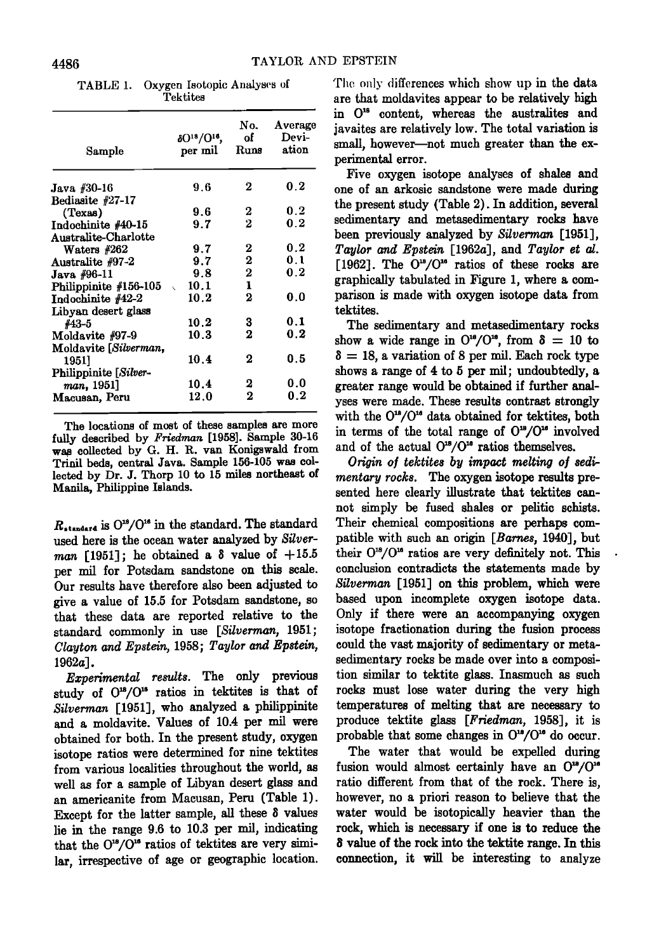**TABLE 1. Oxygen Isotopic Analyses of Tektites** 

| $\delta O^{18}/O^{16}$ ,<br>per mil | No.<br>d.<br>Runs                                    | Average<br>Devi-<br>ation    |
|-------------------------------------|------------------------------------------------------|------------------------------|
|                                     |                                                      |                              |
| 9.6                                 | 2                                                    | 0.2                          |
|                                     |                                                      |                              |
| 9.6                                 | 2                                                    | 0.2                          |
| 9.7                                 | 2                                                    | 0.2                          |
|                                     |                                                      |                              |
| 9.7                                 | 2                                                    | 0.2                          |
| 9.7                                 | 2                                                    | 0.1                          |
| 9.8                                 | 2                                                    | 0.2                          |
|                                     | 1                                                    |                              |
|                                     | 2                                                    | 0.0                          |
|                                     |                                                      |                              |
|                                     |                                                      | 0.1                          |
|                                     |                                                      | 0.2                          |
|                                     |                                                      |                              |
|                                     |                                                      | 0.5                          |
|                                     |                                                      |                              |
|                                     |                                                      | 0.0                          |
|                                     |                                                      |                              |
|                                     |                                                      | 0.2                          |
|                                     | 10.1<br>10.2<br>10.2<br>10.3<br>10.4<br>10.4<br>12.0 | 3<br>2<br>2<br>2<br>$\bf{2}$ |

**The locations of most of these samples are more fully described by Friedman [1958]. Sample 30-16 wa• collected by G. H. R. van Konigswald from Trinil beds, central Java. Sample 156-105 was cok leered by Dr. J. Thorp 10 to 15 miles northeast of Manila, Philippine Islands.** 

 $R_{standard}$  is  $O^{18}/O^{16}$  in the standard. The standard **used here is the ocean water analyzed by Silver***man* [1951]; he obtained a  $\delta$  value of  $+15.5$ **per mil for Potsdam sandstone on this scale. Our results have therefore also been adjusted to give a value of 15.5 for Potsdam sandstone, so that these data are reported relative to the standard commonly in use [Silverman, 1951; Clayton and Epstein, 1958; Taylor and Epstein, 1962a].** 

**Experimental results. The only previous**  study of  $O^{18}/O^{16}$  ratios in tektites is that of **Silverman [1951], who analyzed a philippihire and a moldavite. Values of 10.4 per nail were obtained for both. In the present study, oxygen isotope ratios were determined for nine tektites from various localities throughout the world, as well as for a sample of Libyan desert glass and**  an americanite from Macusan, Peru (Table 1). **Except for the latter sample, all these \$ values lie in the range 9.6 to 10.3 per mil, indicating**  that the O<sup>18</sup>/O<sup>18</sup> ratios of tektites are very similar, irrespective of age or geographic location. **The only differences which show up in the data are that moldaVites appear to be relatively high**  in O<sup>16</sup> content, whereas the australites and **javaires are relatively low. The total variation is**  small, however-not much greater than the ex**perimental error.** 

**Five oxygen isotope analyses of shales and one of an arkosic sandstone were made during**  the present study (Table 2). In addition, several **sedimentary and metasedimentary rocks have been previously analyzed by Silverman [1951], Taylor and Epstein [1962a], and Taylor et al.**   $[1962]$ . The  $O^{18}/O^{16}$  ratios of these rocks are **graphically tabulated in Figure 1, where a comparison is made with oxygen isotope data from tektites.** 

**The sedimentary and metasedimentary rocks**  show a wide range in  $O^{18}/O^{10}$ , from  $\delta = 10$  to  $\delta = 18$ , a variation of 8 per mil. Each rock type **shows a range of 4 to 5 per nail; undoubtedly, a greater range would be obtained if further analyses were made. These results contrast strongly**  with the O<sup>18</sup>/O<sup>16</sup> data obtained for tektites, both in terms of the total range of  $O^{18}/O^{16}$  involved and of the actual  $O^{18}/O^{16}$  ratios themselves.

Origin of tektites by impact melting of sedi**mentary rocks. The oxygen isotope results presented here clearly illustrate that tektites cannot simply be fused shales or pelitic schists. Their chemical compositions are perhaps compatible with such an origin [Barnes, 1940], but**  their  $O^{18}/O^{16}$  ratios are very definitely not. This **conclusion contradicts the statements made by Silverman [1951] on this problem, which were based upon incomplete oxygen isotope data. Only if there were an accompanying oxygen isotope fractionation during the fusion process**  could the vast majority of sedimentary or meta**sedimentary rocks be made over into a composition similar to tektite glass. Inasmuch as such rocks must lose water during the very high temperatures of melting that are necessary to produce tektite glass [Friedman, 1958], it is**  probable that some changes in  $O^{18}/O^{16}$  do occur.

**The water that would be expelled during**  fusion would almost certainly have an  $O^{18}/O^{16}$ **ratio different from that of the rock. There is, however, no a priori reason to believe that the water would be isotopically heavier than the rock, which is necessary if one is to reduce the S value of the rock into the tektite range. In this connection, it will be interesting to analyze**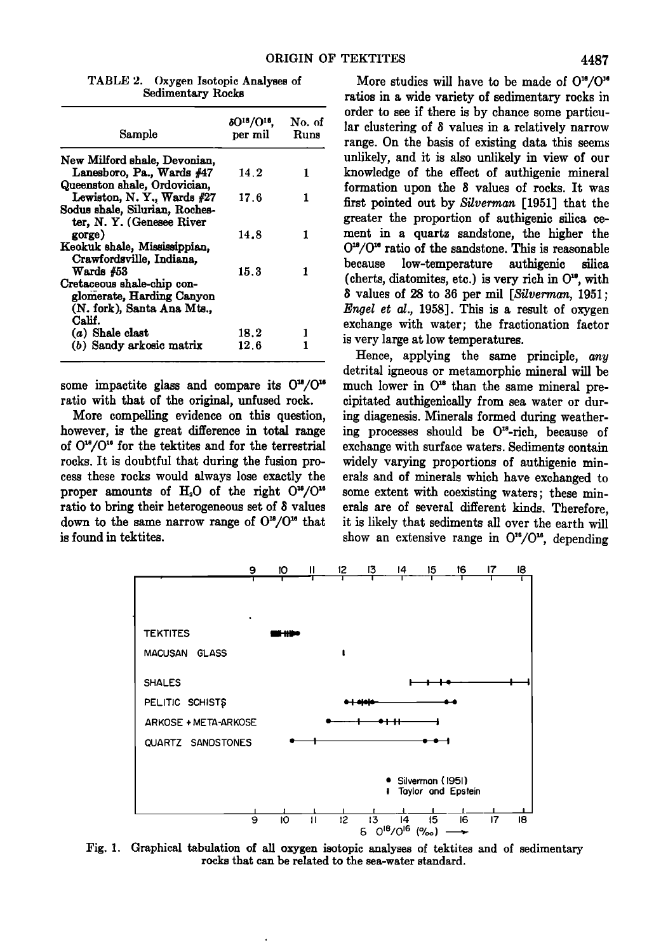| Sample                         | δO <sup>18</sup> /O <sup>16</sup> .<br>per mil | No. of<br>Runs |
|--------------------------------|------------------------------------------------|----------------|
| New Milford shale, Devonian,   |                                                |                |
| Lanesboro, Pa., Wards #47      | 14.2                                           | 1              |
| Queenston shale, Ordovician.   |                                                |                |
| Lewiston, N.Y., Wards #27      | 17.6                                           | 1              |
| Sodus shale, Silurian, Roches- |                                                |                |
| ter, N.Y. (Genesee River       |                                                |                |
| gorge)                         | 14.8                                           |                |
| Keokuk shale, Mississippian,   |                                                |                |
| Crawfordsville, Indiana,       |                                                |                |
| Wards $#53$                    | 15.3                                           |                |
| Cretaceous shale-chip con-     |                                                |                |
| glomerate, Harding Canyon      |                                                |                |
| (N. fork), Santa Ana Mts       |                                                |                |
| Calif.                         |                                                |                |
| $(a)$ Shale clast              | 18.2                                           |                |
| (b) Sandy arkosic matrix       | 12.6                                           |                |

**TABLE 2. Oxygen Isotopic Analyses of Sedimentary Rocks** 

some impactite glass and compare its  $O^{18}/O^{16}$ **ratio with that of the original, unfused rock.** 

**More compelling evidence on this question, however, is the great difference in total range of 0•8/0 •ø for the tektites and for the terrestrial rocks. It is doubtful that during the fusion process these rocks would always lose exactly the**  proper amounts of H<sub>2</sub>O of the right  $O^{18}/O^{16}$ **ratio to bring their heterogeneous set of 8 values**  down to the same narrow range of  $O^{18}/O^{16}$  that **is found in tektites.** 

More studies will have to be made of O<sup>16</sup>/O<sup>16</sup> **ratios in a wide variety of sedimentary rocks in order to see if there is by chance some particular clustering of 8 values in a relatively narrow range. On the basis of existing data this seems unlikely, and it is also unlikely in view of our knowledge of the effect of authigenic mineral formation upon the 8 values of rocks. It was first pointed out by Silverman [1951] that the greater the proportion of authigenic silica cement in a quartz sandstone, the higher the**   $O^{18}/O^{18}$  ratio of the sandstone. This is reasonable because low-temperature authi**zenic** silica **because low-temperature authigenic silica**  (cherts, diatomites, etc.) is very rich in O<sup>18</sup>, with **• values of 28 to 36 per mil [Silverman, 1951; Engel et al., 1958]. This is a result of oxygen exchange with water; the fractionation factor is very large at low temperatures.** 

**Hence, applying the same principle, any detrital igneous or metamorphic mineral will be**  much lower in  $O^{18}$  than the same mineral pre**cipitated authigenically from sea water or during diagenesis. Minerals formed during weathering processes should be O•\*-rich, because of exchange with surface waters. Sediments contain widely varying proportions of authigenic minerals and of minerals which have exchanged to some extent with coexisting waters; these minerals are of several different kinds. Therefore, it is likely that sediments all over the earth will**  show an extensive range in O<sup>16</sup>/O<sup>16</sup>, depending



Fig. 1. Graphical tabulation of all oxygen isotopic analyses of tektites and of sedimentary **rocks that can be related to the sea-water standard.**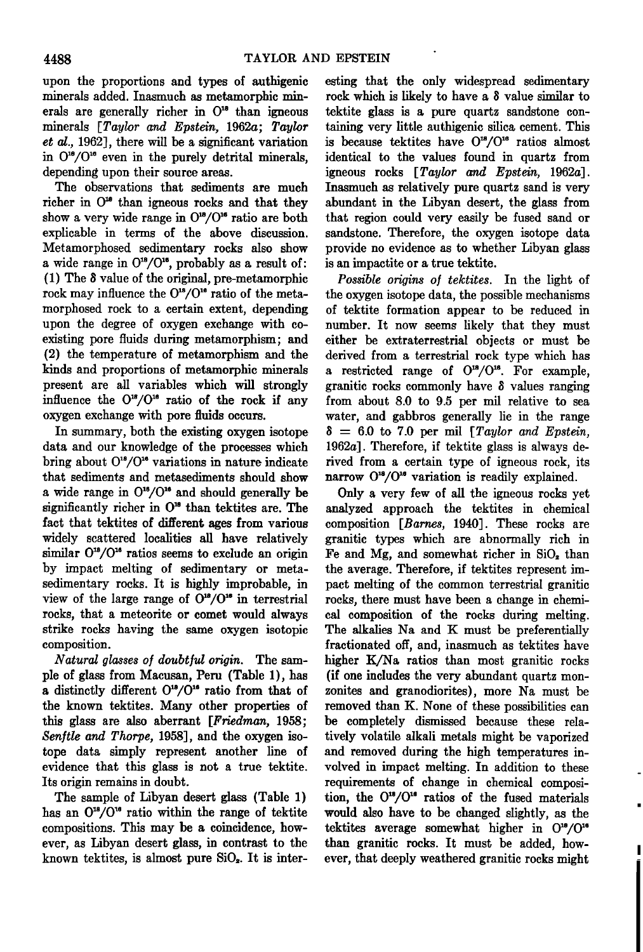**upon the proportions and types of authigenic minerals added. Inasmuch as metamorphic min**erals are generally richer in O<sup>18</sup> than igneous **minerals [Taylor and Epstein, 1962a; Taylor et al., 1962], there will be a significant variation**  in  $O^{10}/O^{10}$  even in the purely detrital minerals, **depending upon their source areas.** 

**The observations that sediments are much**  richer in  $O^{18}$  than igneous rocks and that they show a very wide range in  $O^{18}/O^{16}$  ratio are both **explicable in terms of the above discussion. Metamorphosed sedimentary rocks also show**  a wide range in  $O^{18}/O^{16}$ , probably as a result of:  $(1)$  The  $\delta$  value of the original, pre-metamorphic rock may influence the O<sup>18</sup>/O<sup>16</sup> ratio of the meta**morphosed rock to a certain extent, depending upon the degree of oxygen exchange with coexisting pore fluids during metamorphism; and (2) the temperature of metamorphism and the kinds and proportions of metamorphic minerals present are all variables which will strongly**  influence the  $O^{18}/O^{10}$  ratio of the rock if any **oxygen exchange with pore fluids occurs.** 

**In summary, both the existing oxygen isotope data and our knowledge of the processes which bring about 0•8/0 • variations in nature indicate that sediments and metasediments should show**   $a$  wide range in  $O^{18}/O^{16}$  and should generally be significantly richer in  $O^{10}$  than tektites are. The **fact that tektites of different ages from various widely scattered localities all have relatively**  similar  $O^{18}/O^{16}$  ratios seems to exclude an origin **by impact melting of sedimentary or metasedimentary rocks. It is highly improbable, in**  view of the large range of  $O^{18}/O^{16}$  in terrestrial **rocks, that a meteorite or comet would always strike rocks having the same oxygen isotopic composition.** 

Natural glasses of doubtful origin. The sam**ple of glass from Macusan, Peru (Table 1), has a** distinctly different  $O^{18}/O^{16}$  ratio from that of **the known tektites. Many other properties of this glass are also aberrant [Friedman, 1958;**  Senftle and Thorpe, 1958], and the oxygen iso**tope data simply represent another line of evidence that this glass is not a true tektite. Its origin remains in doubt.** 

**The sample of Libyan desert glass (Table 1)**  has an  $O^{18}/O^{16}$  ratio within the range of tektite **compositions. This may be a coincidence, however, as Libyan desert glass, in contrast to the**  known tektites, is almost pure SiO<sub>2</sub>. It is inter**esting that the only widespread sedimentary**  rock which is likely to have a  $\delta$  value similar to **tektite glass is a pure quartz sandstone containing very little authigenic silica cement. This**  is because tektites have  $O^{18}/O^{16}$  ratios almost **identical to the values found in quartz from igneous rocks [Taylor and Epstein, 1962a]. Inasmuch as relatively pure quartz sand is very abundant in the Libyan desert, the glass from that region could very easily be fused sand or sandstone. Therefore, the oxygen isotope data provide no evidence as to whether Libyan glass is an impactire or a true tektite.** 

**Possible origins of tektites. In the light of the oxygen isotope data, the possible mechanisms of tektite formation appear to be reduced in number. It now seems likely that they must either be extraterrestrial objects or must be derived from a terrestrial rock type which has**  a restricted range of  $O^{18}/O^{16}$ . For example, granitic rocks commonly have  $\delta$  values ranging **from about 8.0 to 9.5 per mil relative to sea water, and gabbros generally lie in the range**   $\delta = 6.0$  to 7.0 per mil [*Taylor and Epstein*, **1962a]. Therefore, if tektite glass is always derived from a certain type of igneous rock, its**  narrow O<sup>18</sup>/O<sup>16</sup> variation is readily explained.

**Only a very few of all the igneous rocks yet analyzed approach the tektites in chemical composition [Barnes, 1940]. These rocks are granitic types which are abnormally rich in Fe and Mg, and somewhat richer in SiO• than the average. Therefore, if tektites represent impact melting of the common terrestrial granitic rocks, there must have been a change in chemical composition of the rocks during melting. The alkalies Na and K must be preferentially fractionated off, and, inasmuch as tektites have higher K/Na ratios than most granitic rocks (if one includes the very abundant quartz monzonites and granodiorites), more Na must be removed than K. None of these possibilities can be completely dismissed because these relatively volatile alkali metals might be vaporized and removed during the high temperatures involved in impact melting. In addition to these requirements of change in chemical composi**tion, the O<sup>18</sup>/O<sup>16</sup> ratios of the fused materials **would also have to be changed slightly, as the**  tektites average somewhat higher in  $O^{18}/O^{16}$ **than granitic rocks. It must be added, however, that deeply weathered granitic rocks might**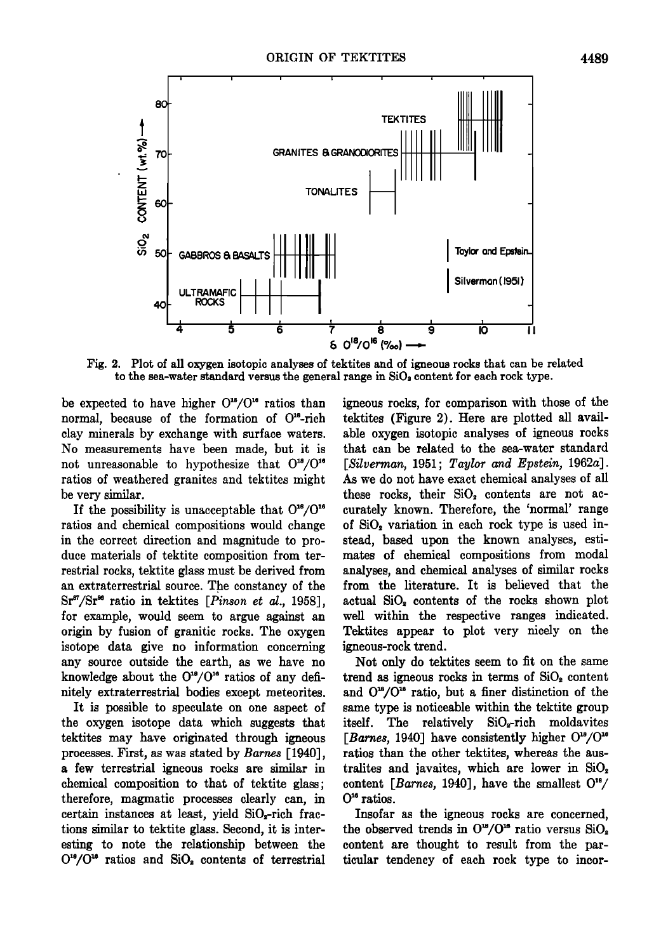

**Fig. 2. Plot of all oxygen isotopic analyses of tektites and of igneous rocks that can be related**  to the sea-water standard versus the general range in SiO<sub>2</sub> content for each rock type.

be expected to have higher  $O^{18}/O^{16}$  ratios than **normal, because of the formation of O•8-rich clay minerals by exchange with surface waters. No measurements have been made, but it is**  not unreasonable to hypothesize that  $O^{18}/O^{16}$ **ratios of weathered granites and tektites might be very similar.** 

If the possibility is unacceptable that  $O^{18}/O^{16}$ **ratios and chemical compositions would change in the correct direction and magnitude to produce materials of tektite composition from terrestrial rocks, tektite glass must be derived from an extraterrestrial source. The constancy of the**  Sr<sup>87</sup>/Sr<sup>88</sup> ratio in tektites [*Pinson et al.*, 1958], **for example, would seem to argue against an origin by fusion of granitic rocks. The oxygen isotope data give no information concerning any source outside the earth, as we have no**  knowledge about the  $O^{18}/O^{16}$  ratios of any defi**nitely extraterrestrial bodies except meteorites.** 

**It is possible to speculate on one aspect of the oxygen isotope data which suggests that tektites may have originated through igneous processes. First, as was stated by Barnes [1940], a few terrestrial igneous rocks are similar in chemical composition to that of tektite glass; therefore, magmatic processes clearly can, in**  certain instances at least, yield SiO<sub>2</sub>-rich frac**tions similar to tektite glass. Second, it is interesting to note the relationship between the**   $O^{18}/O^{16}$  ratios and SiO<sub>2</sub> contents of terrestrial

**igneous rocks, for comparison with those of the tektites (Figure 2). Here are plotted all available oxygen isotopic analyses of igneous rocks that can be related to the sea-water standard [Silverman, 1951; Taylor and Epstein, 1962a]. As we do not have exact chemical analyses of all**  these rocks, their SiO<sub>2</sub> contents are not ac**curately known. Therefore, the 'normal' range of Si0• variation in each rock type is used instead, based upon the known analyses, estimates of chemical compositions from modal analyses, and chemical analyses of similar rocks from the literature. It is believed that the actual Si0• contents of the rocks shown plot well within the respective ranges indicated. Tektites appear to plot very nicely on the igneous-rock trend.** 

**Not only do tektites seem to fit on the same trend as igneous rocks in terms of Si0• content**  and  $O^{18}/O^{16}$  ratio, but a finer distinction of the **same type is noticeable within the tektite group**  itself. The relatively SiO<sub>x</sub>-rich moldavites [Barnes, 1940] have consistently higher  $O^{18}/O^{16}$ **ratios than the other tektites, whereas the australites and javaites, which are lower in Si0• content [Barnes, 1940], have the smallest 0 •ø ratios.** 

**Insofar as the igneous rocks are concerned,**  the observed trends in  $O^{18}/O^{16}$  ratio versus  $SiO_2$ **content are thought to result from the particular tendency of each rock type to incor-**